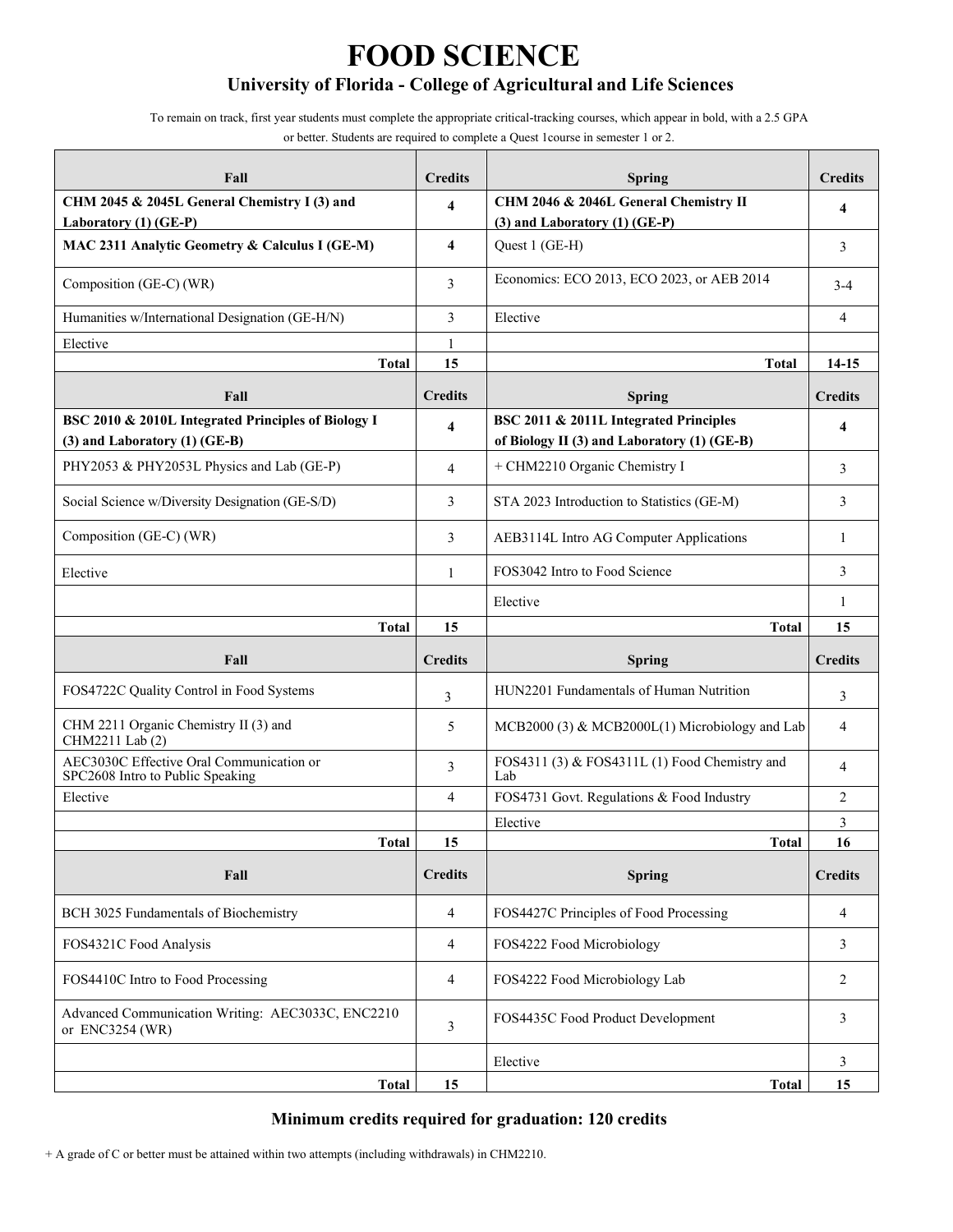# **FOOD SCIENCE**

# **University of Florida - College of Agricultural and Life Sciences**

To remain on track, first year students must complete the appropriate critical-tracking courses, which appear in bold, with a 2.5 GPA

or better. Students are required to complete a Quest 1course in semester 1 or 2.

| Fall                                                                                 | <b>Credits</b>      | <b>Spring</b>                                                                         | <b>Credits</b>           |
|--------------------------------------------------------------------------------------|---------------------|---------------------------------------------------------------------------------------|--------------------------|
| CHM 2045 & 2045L General Chemistry I (3) and                                         | $\overline{\bf{4}}$ | CHM 2046 & 2046L General Chemistry II                                                 | 4                        |
| Laboratory (1) (GE-P)                                                                |                     | $(3)$ and Laboratory $(1)$ $(GE-P)$                                                   |                          |
| MAC 2311 Analytic Geometry & Calculus I (GE-M)                                       | 4                   | Quest 1 (GE-H)                                                                        | 3                        |
| Composition (GE-C) (WR)                                                              | 3                   | Economics: ECO 2013, ECO 2023, or AEB 2014                                            | $3 - 4$                  |
| Humanities w/International Designation (GE-H/N)                                      | 3                   | Elective                                                                              | $\overline{\mathcal{L}}$ |
| Elective                                                                             | 1                   |                                                                                       |                          |
| <b>Total</b>                                                                         | 15                  | <b>Total</b>                                                                          | 14-15                    |
| Fall                                                                                 | <b>Credits</b>      | <b>Spring</b>                                                                         | <b>Credits</b>           |
| BSC 2010 & 2010L Integrated Principles of Biology I<br>(3) and Laboratory (1) (GE-B) | 4                   | BSC 2011 & 2011L Integrated Principles<br>of Biology II (3) and Laboratory (1) (GE-B) | 4                        |
| PHY2053 & PHY2053L Physics and Lab (GE-P)                                            | $\overline{4}$      | + CHM2210 Organic Chemistry I                                                         | 3                        |
| Social Science w/Diversity Designation (GE-S/D)                                      | 3                   | STA 2023 Introduction to Statistics (GE-M)                                            | 3                        |
| Composition (GE-C) (WR)                                                              | 3                   | AEB3114L Intro AG Computer Applications                                               | 1                        |
| Elective                                                                             | 1                   | FOS3042 Intro to Food Science                                                         | 3                        |
|                                                                                      |                     | Elective                                                                              | 1                        |
| <b>Total</b>                                                                         | 15                  | <b>Total</b>                                                                          | 15                       |
| Fall                                                                                 | <b>Credits</b>      | <b>Spring</b>                                                                         | <b>Credits</b>           |
| FOS4722C Quality Control in Food Systems                                             | 3                   | HUN2201 Fundamentals of Human Nutrition                                               | 3                        |
| CHM 2211 Organic Chemistry II (3) and<br>CHM2211 Lab (2)                             | 5                   | MCB2000 (3) & MCB2000L(1) Microbiology and Lab                                        | 4                        |
| AEC3030C Effective Oral Communication or<br>SPC2608 Intro to Public Speaking         | 3                   | FOS4311 (3) & FOS4311L (1) Food Chemistry and<br>Lab                                  | 4                        |
| Elective                                                                             | 4                   | FOS4731 Govt. Regulations & Food Industry                                             | 2                        |
|                                                                                      |                     | Elective                                                                              | 3                        |
| <b>Total</b>                                                                         | 15                  | <b>Total</b>                                                                          | 16                       |
| Fall                                                                                 | <b>Credits</b>      | <b>Spring</b>                                                                         | <b>Credits</b>           |
| BCH 3025 Fundamentals of Biochemistry                                                | $\overline{4}$      | FOS4427C Principles of Food Processing                                                | 4                        |
| FOS4321C Food Analysis                                                               | $\overline{4}$      | FOS4222 Food Microbiology                                                             | 3                        |
| FOS4410C Intro to Food Processing                                                    | $\overline{4}$      | FOS4222 Food Microbiology Lab                                                         | 2                        |
| Advanced Communication Writing: AEC3033C, ENC2210<br>or ENC3254 (WR)                 | 3                   | FOS4435C Food Product Development                                                     | 3                        |
|                                                                                      |                     | Elective                                                                              | 3                        |
| <b>Total</b>                                                                         | 15                  | <b>Total</b>                                                                          | 15                       |

#### **Minimum credits required for graduation: 120 credits**

+ A grade of C or better must be attained within two attempts (including withdrawals) in CHM2210.